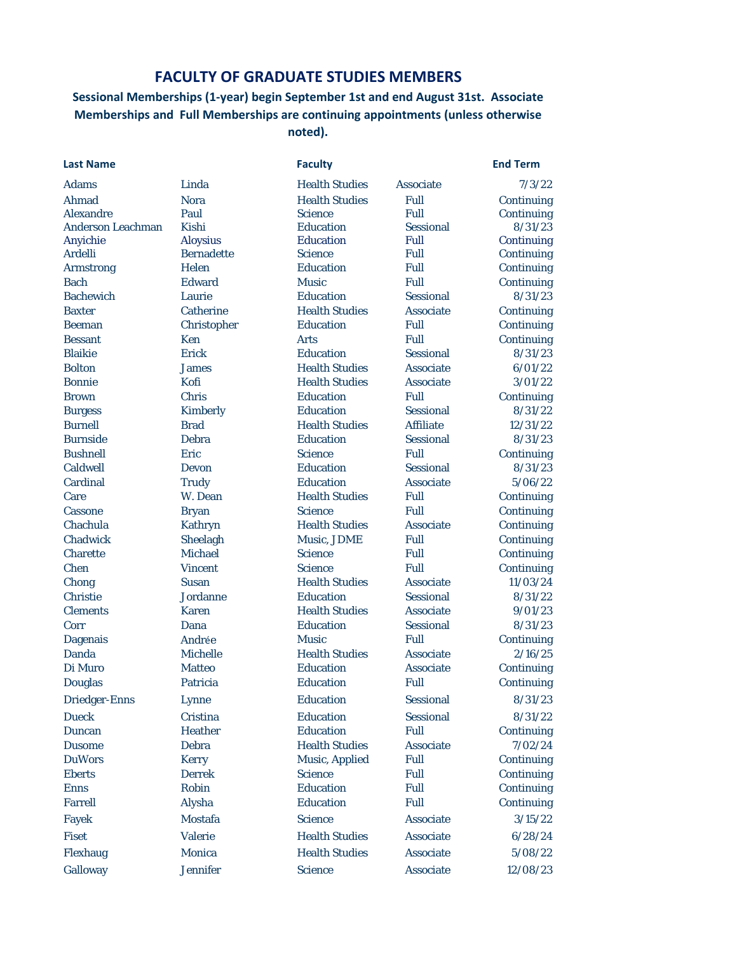## **FACULTY OF GRADUATE STUDIES MEMBERS**

## **Sessional Memberships (1-year) begin September 1st and end August 31st. Associate Memberships and Full Memberships are continuing appointments (unless otherwise noted).**

Ahmad Nora Health Studies Full Continuing Alexandre Paul Science Full Continuing Anderson Leachman Kishi Education Sessional 8/31/23 Anyichie Aloysius Education Full Continuing Ardelli Bernadette Science Full Continuing Armstrong Helen Education Full Continuing Bach Edward Music Full Continuing Bachewich Laurie Education Sessional 8/31/23 Baxter Catherine Health Studies Associate Continuing Beeman Christopher Education Full Continuing Bessant Ken Arts Full Continuing Blaikie Erick Education Sessional 8/31/23 Bolton James Health Studies Associate 6/01/22 Bonnie Kofi Health Studies Associate 3/01/22 Brown Chris Education Full Continuing Burgess Kimberly Education Sessional 8/31/22 Burnell Brad Health Studies Affiliate 12/31/22 Burnside Debra Education Sessional 8/31/23 Bushnell Eric Science Full Continuing Caldwell Devon Education Sessional 8/31/23 Cardinal Trudy Education Associate 5/06/22 Care W. Dean Health Studies Full Continuing Cassone Bryan Science Full Continuing Chachula Kathryn Health Studies Associate Continuing Chadwick Sheelagh Music, JDME Full Continuing Charette Michael Science Full Continuing Chen Vincent Science Full Continuing Chong Susan Health Studies Associate 11/03/24 Christie Jordanne Education Sessional 8/31/22 Clements Karen Health Studies Associate 9/01/23 Corr Dana Education Sessional 8/31/23 Dagenais Andrée Music Full Continuing Danda Michelle Health Studies Associate 2/16/25 Di Muro Matteo Education Associate Continuing Douglas Patricia Education Full Continuing Driedger-Enns Lynne Education Sessional 8/31/23 Dueck Cristina Education Sessional 8/31/22 Duncan Heather Education Full Continuing Dusome Debra Health Studies Associate 7/02/24 DuWors Kerry Music, Applied Full Continuing Eberts Derrek Science Full Continuing Enns Robin Education Full Continuing Farrell Alysha Education Full Continuing Fayek Mostafa Science Associate 3/15/22 Fiset Valerie Health Studies Associate 6/28/24 Flexhaug Monica Health Studies Associate 5/08/22

**Last Name Faculty End Term** Adams Linda Health Studies Associate 7/3/22 Galloway Jennifer Science Associate 12/08/23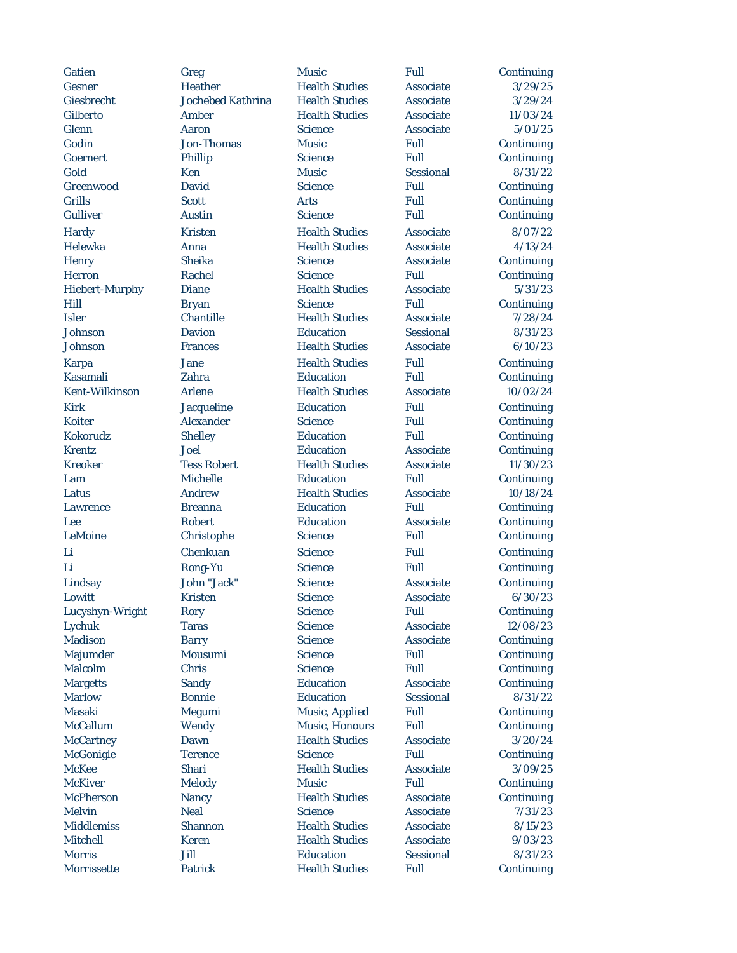Gatien Greg Music Full Continuing Gesner Heather Health Studies Associate 3/29/25 Giesbrecht Jochebed Kathrina Health Studies Associate 3/29/24 Gilberto Amber Health Studies Associate 11/03/24 Glenn Aaron Science Associate 5/01/25 Godin Jon-Thomas Music Full Continuing Goernert Phillip Science Full Continuing Gold Ken Music Sessional 8/31/22 Greenwood David Science Full Continuing Grills Scott Arts Full Continuing Gulliver Austin Science Full Continuing Hardy Kristen Health Studies Associate 8/07/22 Helewka Anna Health Studies Associate 4/13/24 Henry Sheika Science Associate Continuing Herron Rachel Science Full Continuing Hiebert-Murphy Diane Health Studies Associate 5/31/23 Hill Bryan Science Full Continuing Isler Chantille Health Studies Associate 7/28/24 Johnson Davion Education Sessional 8/31/23 Johnson Frances Health Studies Associate 6/10/23 Karpa Jane Health Studies Full Continuing Kasamali Zahra Education Full Continuing Kent-Wilkinson Arlene Health Studies Associate 10/02/24 Kirk Jacqueline Education Full Continuing Koiter Alexander Science Full Continuing Kokorudz Shelley Education Full Continuing Krentz Joel Education Associate Continuing Kreoker Tess Robert Health Studies Associate 11/30/23 Lam Michelle Education Full Continuing Latus Andrew Health Studies Associate 10/18/24 Lawrence Breanna Education Full Continuing Lee Robert Education Associate Continuing LeMoine Christophe Science Full Continuing Li Chenkuan Science Full Continuing Li Rong-Yu Science Full Continuing Lindsay John "Jack" Science Associate Continuing Lowitt Kristen Science Associate 6/30/23 Lucyshyn-Wright Rory Science Full Continuing Lychuk Taras Science Associate 12/08/23 Madison Barry Science Associate Continuing Majumder Mousumi Science Full Continuing Malcolm Chris Science Full Continuing Margetts Sandy Education Associate Continuing Marlow Bonnie Education Sessional 8/31/22 Masaki Megumi Music, Applied Full Continuing McCallum Wendy Music, Honours Full Continuing McCartney Dawn Health Studies Associate 3/20/24 McGonigle Terence Science Full Continuing McKee Shari Health Studies Associate 3/09/25 McKiver Melody Music Full Continuing McPherson Nancy Health Studies Associate Continuing Melvin Neal Science Associate 7/31/23 Middlemiss Shannon Health Studies Associate 8/15/23 Mitchell Keren Health Studies Associate 9/03/23 Morris Jill Education Sessional 8/31/23

Morrissette Patrick Health Studies Full Continuing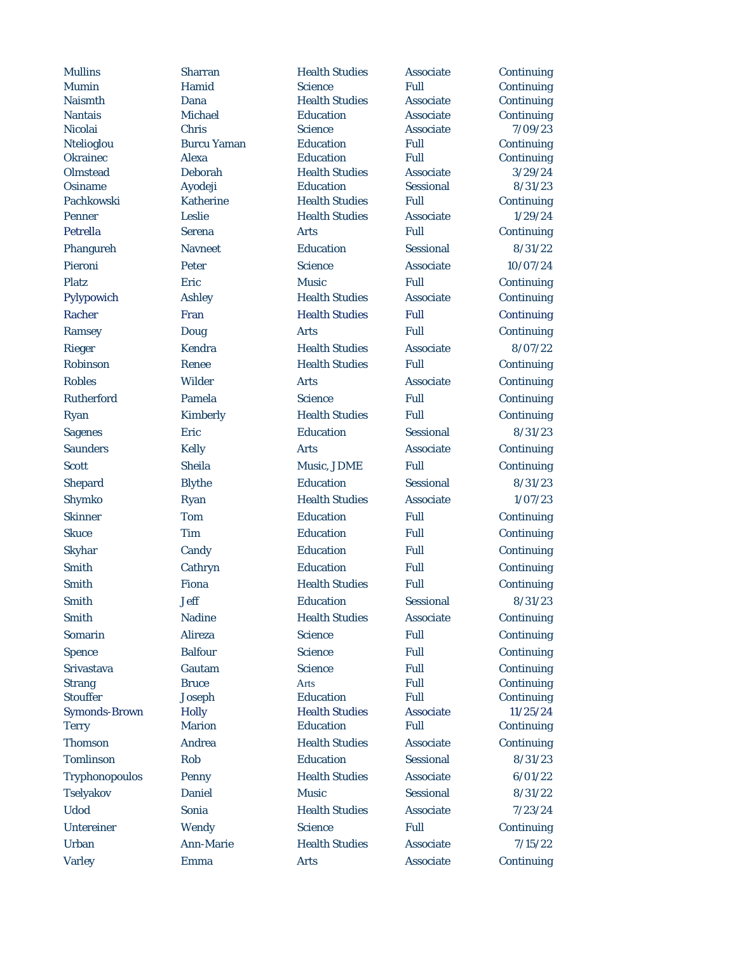Mullins Sharran Health Studies Associate Continuing Mumin Hamid Science Full Continuing Naismth Dana Health Studies Associate Continuing Nantais Michael Education Associate Continuing Nicolai Chris Science Associate 7/09/23 Ntelioglou Burcu Yaman Education Full Continuing Okrainec Alexa Education Full Continuing Olmstead Deborah Health Studies Associate 3/29/24 Osiname Ayodeji Education Sessional 8/31/23 Pachkowski Katherine Health Studies Full Continuing Penner 1/29/24 Leslie Health Studies Associate 1/29/24 Petrella Serena Arts Full Continuing Phangureh Navneet Education Sessional 8/31/22 Pieroni Peter Science Associate 10/07/24 Platz Eric Music Full Continuing Pylypowich Ashley Health Studies Associate Continuing Racher Fran Health Studies Full Continuing Ramsey Doug Arts Full Continuing Rieger Kendra Health Studies Associate 8/07/22 Robinson Renee Health Studies Full Continuing Robles Wilder Arts Associate Continuing Rutherford Pamela Science Full Continuing Ryan Kimberly Health Studies Full Continuing Sagenes Eric Education Sessional 8/31/23 Saunders Kelly Arts Associate Continuing Scott Sheila Music, JDME Full Continuing Shepard Blythe Education Sessional 8/31/23 Shymko Ryan Health Studies Associate 1/07/23 Skinner Tom Education Full Continuing Skuce Tim Education Full Continuing Skyhar Candy Education Full Continuing Smith Cathryn Education Full Continuing Smith Fiona Health Studies Full Continuing Smith Jeff Education Sessional 8/31/23 Smith Nadine Health Studies Associate Continuing Somarin Alireza Science Full Continuing Spence Balfour Science Full Continuing Srivastava Gautam Science Full Continuing Strang Bruce Arts Full Continuing Stouffer Joseph Education Full Continuing Symonds-Brown Holly Health Studies Associate 11/25/24 Terry Marion Education Full Continuing Thomson Andrea Health Studies Associate Continuing Tomlinson Rob Education Sessional 8/31/23 Tryphonopoulos Penny Health Studies Associate 6/01/22 Tselyakov Daniel Music Sessional 8/31/22 Udod Sonia Health Studies Associate 7/23/24 Untereiner Wendy Science Full Continuing Urban Ann-Marie Health Studies Associate 7/15/22 Varley **Emma** Arts Associate Continuing